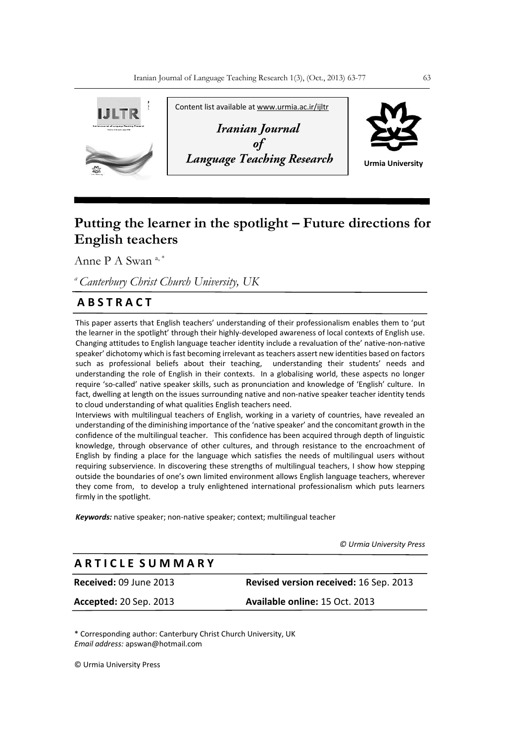

# **Putting the learner in the spotlight – Future directions for English teachers**

Anne P A Swan<sup>a,\*</sup>

*<sup>a</sup>Canterbury Christ Church University, UK*

## **A B S T R A C T**

This paper asserts that English teachers' understanding of their professionalism enables them to 'put the learner in the spotlight' through their highly-developed awareness of local contexts of English use. Changing attitudes to English language teacher identity include a revaluation of the' native-non-native speaker' dichotomy which is fast becoming irrelevant as teachers assert new identities based on factors such as professional beliefs about their teaching, understanding their students' needs and understanding the role of English in their contexts. In a globalising world, these aspects no longer require 'so-called' native speaker skills, such as pronunciation and knowledge of 'English' culture. In fact, dwelling at length on the issues surrounding native and non-native speaker teacher identity tends to cloud understanding of what qualities English teachers need.

Interviews with multilingual teachers of English, working in a variety of countries, have revealed an understanding of the diminishing importance of the 'native speaker' and the concomitant growth in the confidence of the multilingual teacher. This confidence has been acquired through depth of linguistic knowledge, through observance of other cultures, and through resistance to the encroachment of English by finding a place for the language which satisfies the needs of multilingual users without requiring subservience. In discovering these strengths of multilingual teachers, I show how stepping outside the boundaries of one's own limited environment allows English language teachers, wherever they come from, to develop a truly enlightened international professionalism which puts learners firmly in the spotlight.

*Keywords:* native speaker; non-native speaker; context; multilingual teacher

 *© Urmia University Press*

## **A R T I C L E S U M M A R Y**

**Received:** 09 June 2013 **Revised version received:** 16 Sep. 2013

**Accepted:** 20 Sep. 2013 **Available online:** 15 Oct. 2013

\* Corresponding author: Canterbury Christ Church University, UK *Email address:* apswan@hotmail.com

© Urmia University Press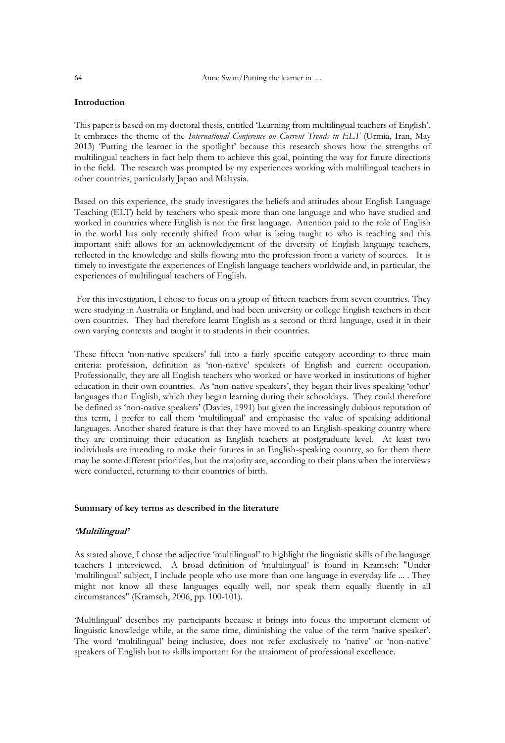64 Anne Swan/Putting the learner in …

## **Introduction**

This paper is based on my doctoral thesis, entitled 'Learning from multilingual teachers of English'. It embraces the theme of the *International Conference on Current Trends in ELT* (Urmia, Iran, May 2013) 'Putting the learner in the spotlight' because this research shows how the strengths of multilingual teachers in fact help them to achieve this goal, pointing the way for future directions in the field. The research was prompted by my experiences working with multilingual teachers in other countries, particularly Japan and Malaysia.

Based on this experience, the study investigates the beliefs and attitudes about English Language Teaching (ELT) held by teachers who speak more than one language and who have studied and worked in countries where English is not the first language. Attention paid to the role of English in the world has only recently shifted from what is being taught to who is teaching and this important shift allows for an acknowledgement of the diversity of English language teachers, reflected in the knowledge and skills flowing into the profession from a variety of sources. It is timely to investigate the experiences of English language teachers worldwide and, in particular, the experiences of multilingual teachers of English.

For this investigation, I chose to focus on a group of fifteen teachers from seven countries. They were studying in Australia or England, and had been university or college English teachers in their own countries. They had therefore learnt English as a second or third language, used it in their own varying contexts and taught it to students in their countries.

These fifteen 'non-native speakers' fall into a fairly specific category according to three main criteria: profession, definition as 'non-native' speakers of English and current occupation. Professionally, they are all English teachers who worked or have worked in institutions of higher education in their own countries. As 'non-native speakers', they began their lives speaking 'other' languages than English, which they began learning during their schooldays. They could therefore be defined as 'non-native speakers' (Davies, 1991) but given the increasingly dubious reputation of this term, I prefer to call them 'multilingual' and emphasise the value of speaking additional languages. Another shared feature is that they have moved to an English-speaking country where they are continuing their education as English teachers at postgraduate level. At least two individuals are intending to make their futures in an English-speaking country, so for them there may be some different priorities, but the majority are, according to their plans when the interviews were conducted, returning to their countries of birth.

## **Summary of key terms as described in the literature**

#### **'Multilingual'**

As stated above, I chose the adjective 'multilingual' to highlight the linguistic skills of the language teachers I interviewed. A broad definition of 'multilingual' is found in Kramsch: "Under 'multilingual' subject, I include people who use more than one language in everyday life ... . They might not know all these languages equally well, nor speak them equally fluently in all circumstances" (Kramsch, 2006, pp. 100-101).

'Multilingual' describes my participants because it brings into focus the important element of linguistic knowledge while, at the same time, diminishing the value of the term 'native speaker'. The word 'multilingual' being inclusive, does not refer exclusively to 'native' or 'non-native' speakers of English but to skills important for the attainment of professional excellence.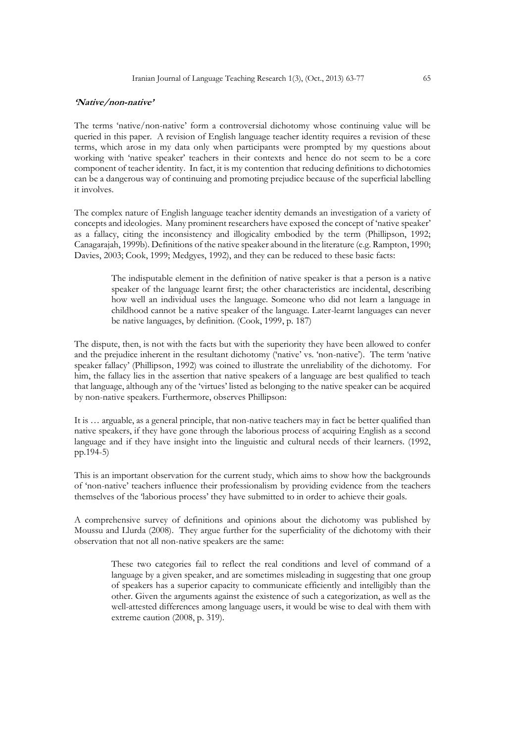## **'Native/non-native'**

The terms 'native/non-native' form a controversial dichotomy whose continuing value will be queried in this paper. A revision of English language teacher identity requires a revision of these terms, which arose in my data only when participants were prompted by my questions about working with 'native speaker' teachers in their contexts and hence do not seem to be a core component of teacher identity. In fact, it is my contention that reducing definitions to dichotomies can be a dangerous way of continuing and promoting prejudice because of the superficial labelling it involves.

The complex nature of English language teacher identity demands an investigation of a variety of concepts and ideologies. Many prominent researchers have exposed the concept of 'native speaker' as a fallacy, citing the inconsistency and illogicality embodied by the term (Phillipson, 1992; Canagarajah, 1999b). Definitions of the native speaker abound in the literature (e.g. Rampton, 1990; Davies, 2003; Cook, 1999; Medgyes, 1992), and they can be reduced to these basic facts:

> The indisputable element in the definition of native speaker is that a person is a native speaker of the language learnt first; the other characteristics are incidental, describing how well an individual uses the language. Someone who did not learn a language in childhood cannot be a native speaker of the language. Later-learnt languages can never be native languages, by definition. (Cook, 1999, p. 187)

The dispute, then, is not with the facts but with the superiority they have been allowed to confer and the prejudice inherent in the resultant dichotomy ('native' vs. 'non-native'). The term 'native speaker fallacy' (Phillipson, 1992) was coined to illustrate the unreliability of the dichotomy. For him, the fallacy lies in the assertion that native speakers of a language are best qualified to teach that language, although any of the 'virtues' listed as belonging to the native speaker can be acquired by non-native speakers. Furthermore, observes Phillipson:

It is … arguable, as a general principle, that non-native teachers may in fact be better qualified than native speakers, if they have gone through the laborious process of acquiring English as a second language and if they have insight into the linguistic and cultural needs of their learners. (1992, pp.194-5)

This is an important observation for the current study, which aims to show how the backgrounds of 'non-native' teachers influence their professionalism by providing evidence from the teachers themselves of the 'laborious process' they have submitted to in order to achieve their goals.

A comprehensive survey of definitions and opinions about the dichotomy was published by Moussu and Llurda (2008). They argue further for the superficiality of the dichotomy with their observation that not all non-native speakers are the same:

> These two categories fail to reflect the real conditions and level of command of a language by a given speaker, and are sometimes misleading in suggesting that one group of speakers has a superior capacity to communicate efficiently and intelligibly than the other. Given the arguments against the existence of such a categorization, as well as the well-attested differences among language users, it would be wise to deal with them with extreme caution (2008, p. 319).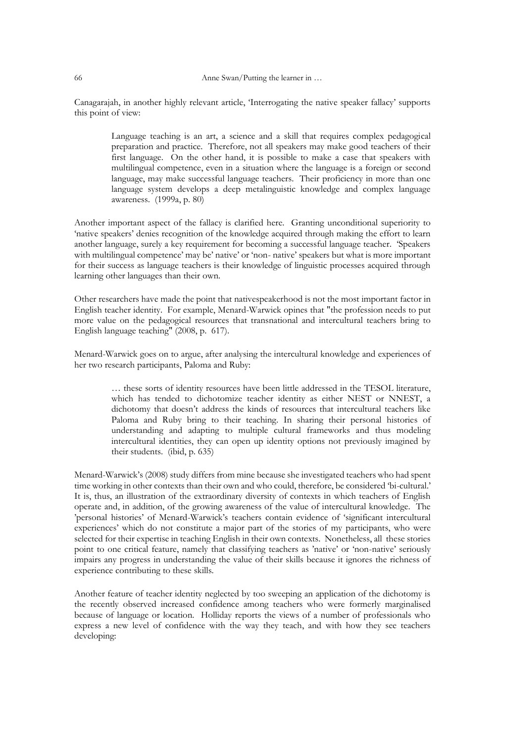Canagarajah, in another highly relevant article, 'Interrogating the native speaker fallacy' supports this point of view:

> Language teaching is an art, a science and a skill that requires complex pedagogical preparation and practice. Therefore, not all speakers may make good teachers of their first language. On the other hand, it is possible to make a case that speakers with multilingual competence, even in a situation where the language is a foreign or second language, may make successful language teachers. Their proficiency in more than one language system develops a deep metalinguistic knowledge and complex language awareness. (1999a, p. 80)

Another important aspect of the fallacy is clarified here. Granting unconditional superiority to 'native speakers' denies recognition of the knowledge acquired through making the effort to learn another language, surely a key requirement for becoming a successful language teacher. 'Speakers with multilingual competence' may be' native' or 'non- native' speakers but what is more important for their success as language teachers is their knowledge of linguistic processes acquired through learning other languages than their own.

Other researchers have made the point that nativespeakerhood is not the most important factor in English teacher identity. For example, Menard-Warwick opines that "the profession needs to put more value on the pedagogical resources that transnational and intercultural teachers bring to English language teaching" (2008, p. 617).

Menard-Warwick goes on to argue, after analysing the intercultural knowledge and experiences of her two research participants, Paloma and Ruby:

> … these sorts of identity resources have been little addressed in the TESOL literature, which has tended to dichotomize teacher identity as either NEST or NNEST, a dichotomy that doesn't address the kinds of resources that intercultural teachers like Paloma and Ruby bring to their teaching. In sharing their personal histories of understanding and adapting to multiple cultural frameworks and thus modeling intercultural identities, they can open up identity options not previously imagined by their students. (ibid, p. 635)

Menard-Warwick's (2008) study differs from mine because she investigated teachers who had spent time working in other contexts than their own and who could, therefore, be considered 'bi-cultural.' It is, thus, an illustration of the extraordinary diversity of contexts in which teachers of English operate and, in addition, of the growing awareness of the value of intercultural knowledge. The 'personal histories' of Menard-Warwick's teachers contain evidence of 'significant intercultural experiences' which do not constitute a major part of the stories of my participants, who were selected for their expertise in teaching English in their own contexts. Nonetheless, all these stories point to one critical feature, namely that classifying teachers as 'native' or 'non-native' seriously impairs any progress in understanding the value of their skills because it ignores the richness of experience contributing to these skills.

Another feature of teacher identity neglected by too sweeping an application of the dichotomy is the recently observed increased confidence among teachers who were formerly marginalised because of language or location. Holliday reports the views of a number of professionals who express a new level of confidence with the way they teach, and with how they see teachers developing: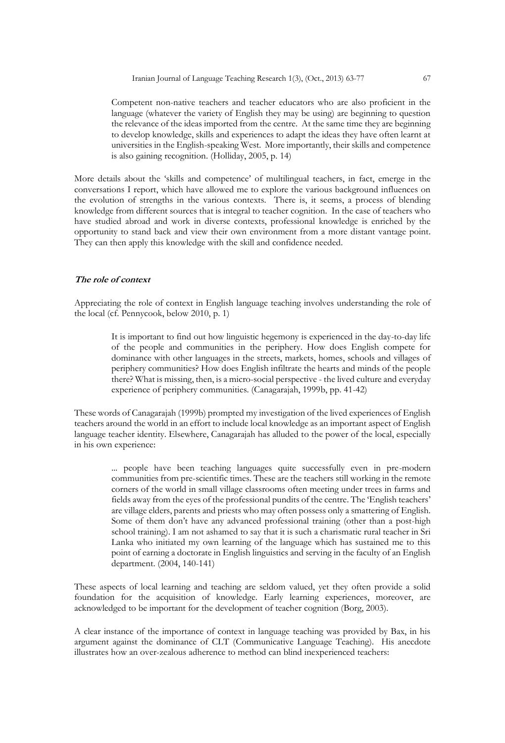Competent non-native teachers and teacher educators who are also proficient in the language (whatever the variety of English they may be using) are beginning to question the relevance of the ideas imported from the centre. At the same time they are beginning to develop knowledge, skills and experiences to adapt the ideas they have often learnt at universities in the English-speaking West. More importantly, their skills and competence is also gaining recognition. (Holliday, 2005, p. 14)

More details about the 'skills and competence' of multilingual teachers, in fact, emerge in the conversations I report, which have allowed me to explore the various background influences on the evolution of strengths in the various contexts. There is, it seems, a process of blending knowledge from different sources that is integral to teacher cognition. In the case of teachers who have studied abroad and work in diverse contexts, professional knowledge is enriched by the opportunity to stand back and view their own environment from a more distant vantage point. They can then apply this knowledge with the skill and confidence needed.

## **The role of context**

Appreciating the role of context in English language teaching involves understanding the role of the local (cf. Pennycook, below 2010, p. 1)

> It is important to find out how linguistic hegemony is experienced in the day-to-day life of the people and communities in the periphery. How does English compete for dominance with other languages in the streets, markets, homes, schools and villages of periphery communities? How does English infiltrate the hearts and minds of the people there? What is missing, then, is a micro-social perspective - the lived culture and everyday experience of periphery communities. (Canagarajah, 1999b, pp. 41-42)

These words of Canagarajah (1999b) prompted my investigation of the lived experiences of English teachers around the world in an effort to include local knowledge as an important aspect of English language teacher identity. Elsewhere, Canagarajah has alluded to the power of the local, especially in his own experience:

> ... people have been teaching languages quite successfully even in pre-modern communities from pre-scientific times. These are the teachers still working in the remote corners of the world in small village classrooms often meeting under trees in farms and fields away from the eyes of the professional pundits of the centre. The 'English teachers' are village elders, parents and priests who may often possess only a smattering of English. Some of them don't have any advanced professional training (other than a post-high school training). I am not ashamed to say that it is such a charismatic rural teacher in Sri Lanka who initiated my own learning of the language which has sustained me to this point of earning a doctorate in English linguistics and serving in the faculty of an English department. (2004, 140-141)

These aspects of local learning and teaching are seldom valued, yet they often provide a solid foundation for the acquisition of knowledge. Early learning experiences, moreover, are acknowledged to be important for the development of teacher cognition (Borg, 2003).

A clear instance of the importance of context in language teaching was provided by Bax, in his argument against the dominance of CLT (Communicative Language Teaching). His anecdote illustrates how an over-zealous adherence to method can blind inexperienced teachers: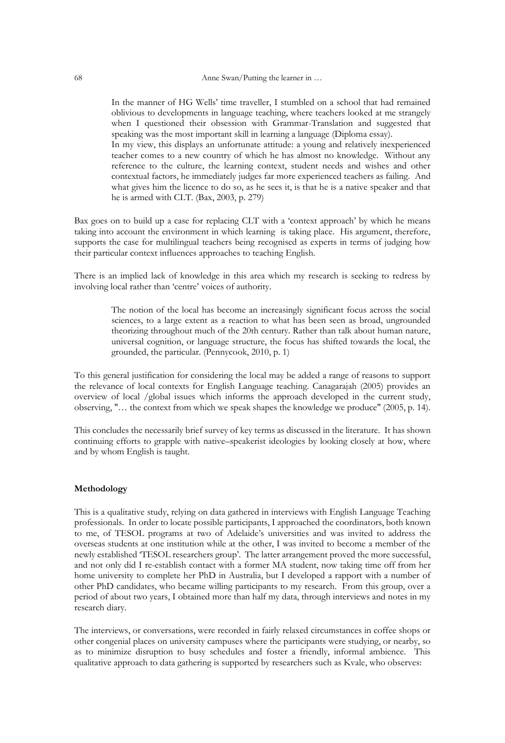In the manner of HG Wells' time traveller, I stumbled on a school that had remained oblivious to developments in language teaching, where teachers looked at me strangely when I questioned their obsession with Grammar-Translation and suggested that speaking was the most important skill in learning a language (Diploma essay).

In my view, this displays an unfortunate attitude: a young and relatively inexperienced teacher comes to a new country of which he has almost no knowledge. Without any reference to the culture, the learning context, student needs and wishes and other contextual factors, he immediately judges far more experienced teachers as failing. And what gives him the licence to do so, as he sees it, is that he is a native speaker and that he is armed with CLT. (Bax, 2003, p. 279)

Bax goes on to build up a case for replacing CLT with a 'context approach' by which he means taking into account the environment in which learning is taking place. His argument, therefore, supports the case for multilingual teachers being recognised as experts in terms of judging how their particular context influences approaches to teaching English.

There is an implied lack of knowledge in this area which my research is seeking to redress by involving local rather than 'centre' voices of authority.

> The notion of the local has become an increasingly significant focus across the social sciences, to a large extent as a reaction to what has been seen as broad, ungrounded theorizing throughout much of the 20th century. Rather than talk about human nature, universal cognition, or language structure, the focus has shifted towards the local, the grounded, the particular. (Pennycook, 2010, p. 1)

To this general justification for considering the local may be added a range of reasons to support the relevance of local contexts for English Language teaching. Canagarajah (2005) provides an overview of local /global issues which informs the approach developed in the current study, observing, "… the context from which we speak shapes the knowledge we produce" (2005, p. 14).

This concludes the necessarily brief survey of key terms as discussed in the literature. It has shown continuing efforts to grapple with native–speakerist ideologies by looking closely at how, where and by whom English is taught.

## **Methodology**

This is a qualitative study, relying on data gathered in interviews with English Language Teaching professionals. In order to locate possible participants, I approached the coordinators, both known to me, of TESOL programs at two of Adelaide's universities and was invited to address the overseas students at one institution while at the other, I was invited to become a member of the newly established 'TESOL researchers group'. The latter arrangement proved the more successful, and not only did I re-establish contact with a former MA student, now taking time off from her home university to complete her PhD in Australia, but I developed a rapport with a number of other PhD candidates, who became willing participants to my research. From this group, over a period of about two years, I obtained more than half my data, through interviews and notes in my research diary.

The interviews, or conversations, were recorded in fairly relaxed circumstances in coffee shops or other congenial places on university campuses where the participants were studying, or nearby, so as to minimize disruption to busy schedules and foster a friendly, informal ambience. This qualitative approach to data gathering is supported by researchers such as Kvale, who observes: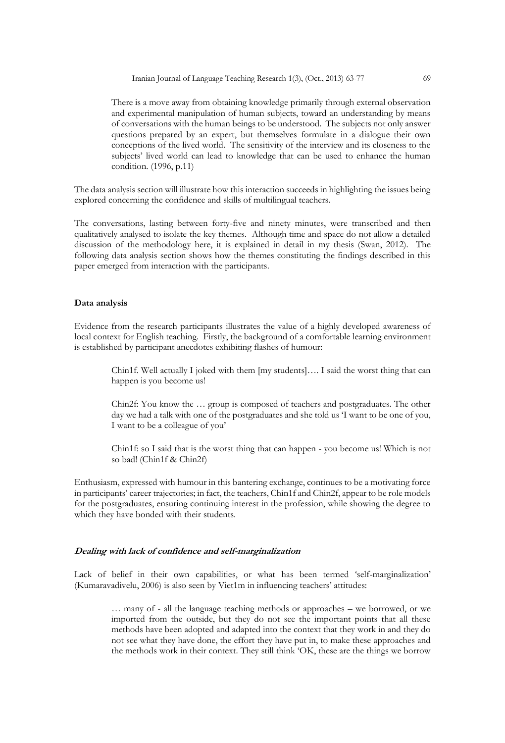Iranian Journal of Language Teaching Research 1(3), (Oct., 2013) 63-77 69

There is a move away from obtaining knowledge primarily through external observation and experimental manipulation of human subjects, toward an understanding by means of conversations with the human beings to be understood. The subjects not only answer questions prepared by an expert, but themselves formulate in a dialogue their own conceptions of the lived world. The sensitivity of the interview and its closeness to the subjects' lived world can lead to knowledge that can be used to enhance the human condition. (1996, p.11)

The data analysis section will illustrate how this interaction succeeds in highlighting the issues being explored concerning the confidence and skills of multilingual teachers.

The conversations, lasting between forty-five and ninety minutes, were transcribed and then qualitatively analysed to isolate the key themes. Although time and space do not allow a detailed discussion of the methodology here, it is explained in detail in my thesis (Swan, 2012). The following data analysis section shows how the themes constituting the findings described in this paper emerged from interaction with the participants.

#### **Data analysis**

Evidence from the research participants illustrates the value of a highly developed awareness of local context for English teaching. Firstly, the background of a comfortable learning environment is established by participant anecdotes exhibiting flashes of humour:

> Chin1f. Well actually I joked with them [my students]…. I said the worst thing that can happen is you become us!

> Chin2f: You know the … group is composed of teachers and postgraduates. The other day we had a talk with one of the postgraduates and she told us 'I want to be one of you, I want to be a colleague of you'

> Chin1f: so I said that is the worst thing that can happen - you become us! Which is not so bad! (Chin1f & Chin2f)

Enthusiasm, expressed with humour in this bantering exchange, continues to be a motivating force in participants' career trajectories; in fact, the teachers, Chin1f and Chin2f, appear to be role models for the postgraduates, ensuring continuing interest in the profession, while showing the degree to which they have bonded with their students.

## **Dealing with lack of confidence and self-marginalization**

Lack of belief in their own capabilities, or what has been termed 'self-marginalization' (Kumaravadivelu, 2006) is also seen by Viet1m in influencing teachers' attitudes:

> … many of - all the language teaching methods or approaches – we borrowed, or we imported from the outside, but they do not see the important points that all these methods have been adopted and adapted into the context that they work in and they do not see what they have done, the effort they have put in, to make these approaches and the methods work in their context. They still think 'OK, these are the things we borrow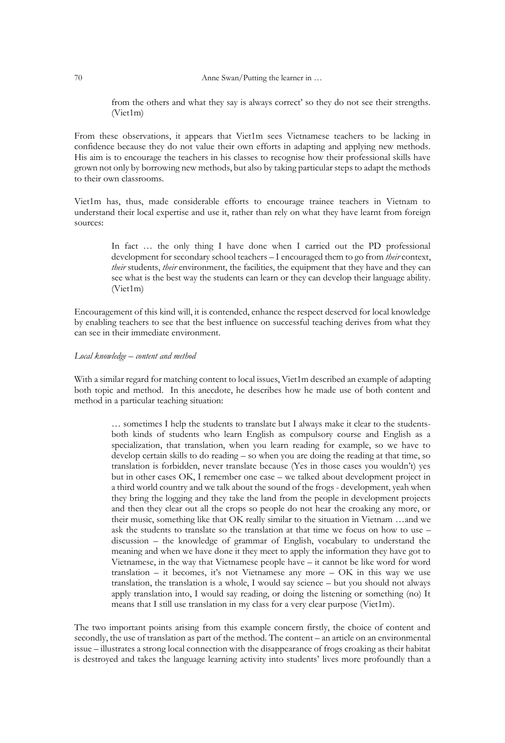from the others and what they say is always correct' so they do not see their strengths. (Viet1m)

From these observations, it appears that Viet1m sees Vietnamese teachers to be lacking in confidence because they do not value their own efforts in adapting and applying new methods. His aim is to encourage the teachers in his classes to recognise how their professional skills have grown not only by borrowing new methods, but also by taking particular steps to adapt the methods to their own classrooms.

Viet1m has, thus, made considerable efforts to encourage trainee teachers in Vietnam to understand their local expertise and use it, rather than rely on what they have learnt from foreign sources:

> In fact … the only thing I have done when I carried out the PD professional development for secondary school teachers – I encouraged them to go from *their* context, *their* students, *their* environment, the facilities, the equipment that they have and they can see what is the best way the students can learn or they can develop their language ability. (Viet1m)

Encouragement of this kind will, it is contended, enhance the respect deserved for local knowledge by enabling teachers to see that the best influence on successful teaching derives from what they can see in their immediate environment.

## *Local knowledge – content and method*

With a similar regard for matching content to local issues, Viet1m described an example of adapting both topic and method. In this anecdote, he describes how he made use of both content and method in a particular teaching situation:

> … sometimes I help the students to translate but I always make it clear to the studentsboth kinds of students who learn English as compulsory course and English as a specialization, that translation, when you learn reading for example, so we have to develop certain skills to do reading – so when you are doing the reading at that time, so translation is forbidden, never translate because (Yes in those cases you wouldn't) yes but in other cases OK, I remember one case – we talked about development project in a third world country and we talk about the sound of the frogs - development, yeah when they bring the logging and they take the land from the people in development projects and then they clear out all the crops so people do not hear the croaking any more, or their music, something like that OK really similar to the situation in Vietnam …and we ask the students to translate so the translation at that time we focus on how to use – discussion – the knowledge of grammar of English, vocabulary to understand the meaning and when we have done it they meet to apply the information they have got to Vietnamese, in the way that Vietnamese people have – it cannot be like word for word translation – it becomes, it's not Vietnamese any more – OK in this way we use translation, the translation is a whole, I would say science – but you should not always apply translation into, I would say reading, or doing the listening or something (no) It means that I still use translation in my class for a very clear purpose (Viet1m).

The two important points arising from this example concern firstly, the choice of content and secondly, the use of translation as part of the method. The content – an article on an environmental issue – illustrates a strong local connection with the disappearance of frogs croaking as their habitat is destroyed and takes the language learning activity into students' lives more profoundly than a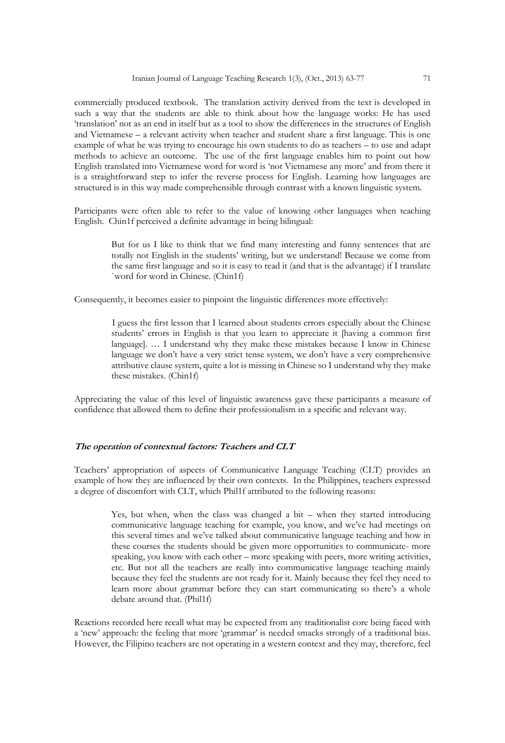commercially produced textbook. The translation activity derived from the text is developed in such a way that the students are able to think about how the language works: He has used 'translation' not as an end in itself but as a tool to show the differences in the structures of English and Vietnamese – a relevant activity when teacher and student share a first language. This is one example of what he was trying to encourage his own students to do as teachers – to use and adapt methods to achieve an outcome. The use of the first language enables him to point out how English translated into Vietnamese word for word is 'not Vietnamese any more' and from there it is a straightforward step to infer the reverse process for English. Learning how languages are structured is in this way made comprehensible through contrast with a known linguistic system.

Participants were often able to refer to the value of knowing other languages when teaching English. Chin1f perceived a definite advantage in being bilingual:

> But for us I like to think that we find many interesting and funny sentences that are totally not English in the students' writing, but we understand! Because we come from the same first language and so it is easy to read it (and that is the advantage) if I translate `word for word in Chinese. (Chin1f)

Consequently, it becomes easier to pinpoint the linguistic differences more effectively:

I guess the first lesson that I learned about students errors especially about the Chinese students' errors in English is that you learn to appreciate it [having a common first language]. ... I understand why they make these mistakes because I know in Chinese language we don't have a very strict tense system, we don't have a very comprehensive attributive clause system, quite a lot is missing in Chinese so I understand why they make these mistakes. (Chin1f)

Appreciating the value of this level of linguistic awareness gave these participants a measure of confidence that allowed them to define their professionalism in a specific and relevant way.

## **The operation of contextual factors: Teachers and CLT**

Teachers' appropriation of aspects of Communicative Language Teaching (CLT) provides an example of how they are influenced by their own contexts. In the Philippines, teachers expressed a degree of discomfort with CLT, which Phil1f attributed to the following reasons:

> Yes, but when, when the class was changed a bit – when they started introducing communicative language teaching for example, you know, and we've had meetings on this several times and we've talked about communicative language teaching and how in these courses the students should be given more opportunities to communicate- more speaking, you know with each other – more speaking with peers, more writing activities, etc. But not all the teachers are really into communicative language teaching mainly because they feel the students are not ready for it. Mainly because they feel they need to learn more about grammar before they can start communicating so there's a whole debate around that. (Phil1f)

Reactions recorded here recall what may be expected from any traditionalist core being faced with a 'new' approach: the feeling that more 'grammar' is needed smacks strongly of a traditional bias. However, the Filipino teachers are not operating in a western context and they may, therefore, feel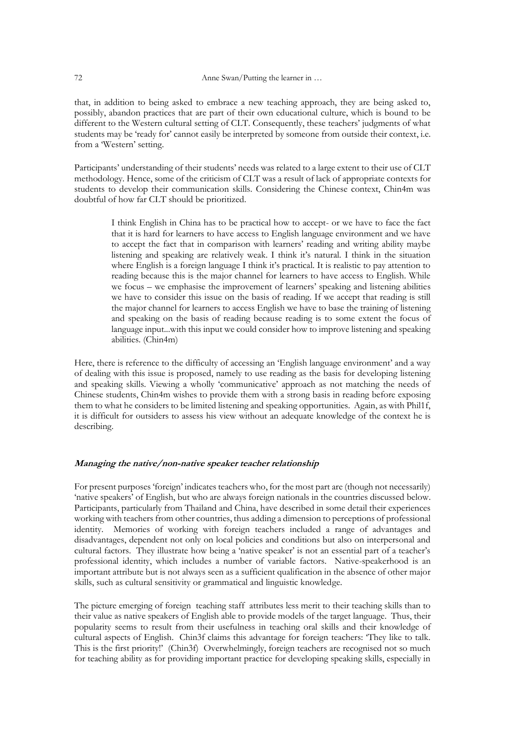that, in addition to being asked to embrace a new teaching approach, they are being asked to, possibly, abandon practices that are part of their own educational culture, which is bound to be different to the Western cultural setting of CLT. Consequently, these teachers' judgments of what students may be 'ready for' cannot easily be interpreted by someone from outside their context, i.e. from a 'Western' setting.

Participants' understanding of their students' needs was related to a large extent to their use of CLT methodology. Hence, some of the criticism of CLT was a result of lack of appropriate contexts for students to develop their communication skills. Considering the Chinese context, Chin4m was doubtful of how far CLT should be prioritized.

> I think English in China has to be practical how to accept- or we have to face the fact that it is hard for learners to have access to English language environment and we have to accept the fact that in comparison with learners' reading and writing ability maybe listening and speaking are relatively weak. I think it's natural. I think in the situation where English is a foreign language I think it's practical. It is realistic to pay attention to reading because this is the major channel for learners to have access to English. While we focus – we emphasise the improvement of learners' speaking and listening abilities we have to consider this issue on the basis of reading. If we accept that reading is still the major channel for learners to access English we have to base the training of listening and speaking on the basis of reading because reading is to some extent the focus of language input...with this input we could consider how to improve listening and speaking abilities. (Chin4m)

Here, there is reference to the difficulty of accessing an 'English language environment' and a way of dealing with this issue is proposed, namely to use reading as the basis for developing listening and speaking skills. Viewing a wholly 'communicative' approach as not matching the needs of Chinese students, Chin4m wishes to provide them with a strong basis in reading before exposing them to what he considers to be limited listening and speaking opportunities. Again, as with Phil1f, it is difficult for outsiders to assess his view without an adequate knowledge of the context he is describing.

#### **Managing the native/non-native speaker teacher relationship**

For present purposes 'foreign' indicates teachers who, for the most part are (though not necessarily) 'native speakers' of English, but who are always foreign nationals in the countries discussed below. Participants, particularly from Thailand and China, have described in some detail their experiences working with teachers from other countries, thus adding a dimension to perceptions of professional identity. Memories of working with foreign teachers included a range of advantages and disadvantages, dependent not only on local policies and conditions but also on interpersonal and cultural factors. They illustrate how being a 'native speaker' is not an essential part of a teacher's professional identity, which includes a number of variable factors. Native-speakerhood is an important attribute but is not always seen as a sufficient qualification in the absence of other major skills, such as cultural sensitivity or grammatical and linguistic knowledge.

The picture emerging of foreign teaching staff attributes less merit to their teaching skills than to their value as native speakers of English able to provide models of the target language. Thus, their popularity seems to result from their usefulness in teaching oral skills and their knowledge of cultural aspects of English. Chin3f claims this advantage for foreign teachers: 'They like to talk. This is the first priority!' (Chin3f) Overwhelmingly, foreign teachers are recognised not so much for teaching ability as for providing important practice for developing speaking skills, especially in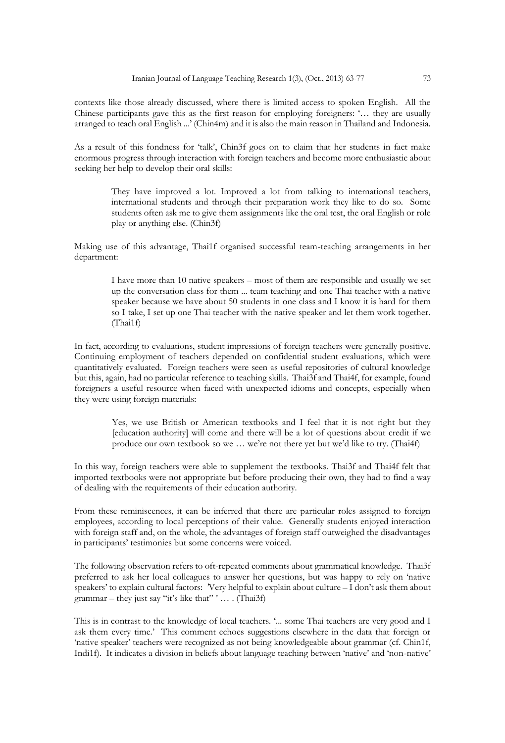contexts like those already discussed, where there is limited access to spoken English. All the Chinese participants gave this as the first reason for employing foreigners: '… they are usually arranged to teach oral English ...' (Chin4m) and it is also the main reason in Thailand and Indonesia.

As a result of this fondness for 'talk', Chin3f goes on to claim that her students in fact make enormous progress through interaction with foreign teachers and become more enthusiastic about seeking her help to develop their oral skills:

> They have improved a lot. Improved a lot from talking to international teachers, international students and through their preparation work they like to do so. Some students often ask me to give them assignments like the oral test, the oral English or role play or anything else. (Chin3f)

Making use of this advantage, Thai1f organised successful team-teaching arrangements in her department:

> I have more than 10 native speakers – most of them are responsible and usually we set up the conversation class for them ... team teaching and one Thai teacher with a native speaker because we have about 50 students in one class and I know it is hard for them so I take, I set up one Thai teacher with the native speaker and let them work together. (Thai1f)

In fact, according to evaluations, student impressions of foreign teachers were generally positive. Continuing employment of teachers depended on confidential student evaluations, which were quantitatively evaluated. Foreign teachers were seen as useful repositories of cultural knowledge but this, again, had no particular reference to teaching skills. Thai3f and Thai4f, for example, found foreigners a useful resource when faced with unexpected idioms and concepts, especially when they were using foreign materials:

> Yes, we use British or American textbooks and I feel that it is not right but they [education authority] will come and there will be a lot of questions about credit if we produce our own textbook so we … we're not there yet but we'd like to try. (Thai4f)

In this way, foreign teachers were able to supplement the textbooks. Thai3f and Thai4f felt that imported textbooks were not appropriate but before producing their own, they had to find a way of dealing with the requirements of their education authority.

From these reminiscences, it can be inferred that there are particular roles assigned to foreign employees, according to local perceptions of their value. Generally students enjoyed interaction with foreign staff and, on the whole, the advantages of foreign staff outweighed the disadvantages in participants' testimonies but some concerns were voiced.

The following observation refers to oft-repeated comments about grammatical knowledge. Thai3f preferred to ask her local colleagues to answer her questions, but was happy to rely on 'native speakers' to explain cultural factors: *'*Very helpful to explain about culture – I don't ask them about grammar – they just say "it's like that" ' … . (Thai3f)

This is in contrast to the knowledge of local teachers. '*...* some Thai teachers are very good and I ask them every time.' This comment echoes suggestions elsewhere in the data that foreign or 'native speaker' teachers were recognized as not being knowledgeable about grammar (cf. Chin1f, Indi1f). It indicates a division in beliefs about language teaching between 'native' and 'non-native'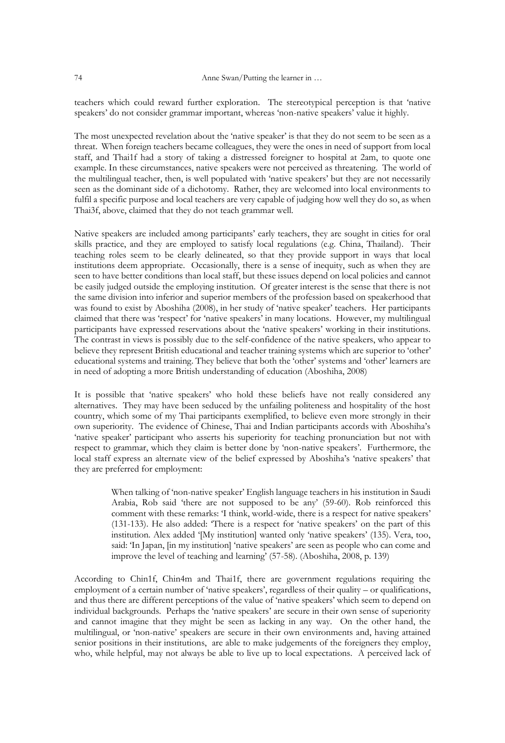teachers which could reward further exploration. The stereotypical perception is that 'native speakers' do not consider grammar important, whereas 'non-native speakers' value it highly.

The most unexpected revelation about the 'native speaker' is that they do not seem to be seen as a threat. When foreign teachers became colleagues, they were the ones in need of support from local staff, and Thai1f had a story of taking a distressed foreigner to hospital at 2am, to quote one example. In these circumstances, native speakers were not perceived as threatening. The world of the multilingual teacher, then, is well populated with 'native speakers' but they are not necessarily seen as the dominant side of a dichotomy. Rather, they are welcomed into local environments to fulfil a specific purpose and local teachers are very capable of judging how well they do so, as when Thai3f, above, claimed that they do not teach grammar well.

Native speakers are included among participants' early teachers, they are sought in cities for oral skills practice, and they are employed to satisfy local regulations (e.g. China, Thailand). Their teaching roles seem to be clearly delineated, so that they provide support in ways that local institutions deem appropriate. Occasionally, there is a sense of inequity, such as when they are seen to have better conditions than local staff, but these issues depend on local policies and cannot be easily judged outside the employing institution. Of greater interest is the sense that there is not the same division into inferior and superior members of the profession based on speakerhood that was found to exist by Aboshiha (2008), in her study of 'native speaker' teachers. Her participants claimed that there was 'respect' for 'native speakers' in many locations. However, my multilingual participants have expressed reservations about the 'native speakers' working in their institutions. The contrast in views is possibly due to the self-confidence of the native speakers, who appear to believe they represent British educational and teacher training systems which are superior to 'other' educational systems and training. They believe that both the 'other' systems and 'other' learners are in need of adopting a more British understanding of education (Aboshiha, 2008)

It is possible that 'native speakers' who hold these beliefs have not really considered any alternatives. They may have been seduced by the unfailing politeness and hospitality of the host country, which some of my Thai participants exemplified, to believe even more strongly in their own superiority. The evidence of Chinese, Thai and Indian participants accords with Aboshiha's 'native speaker' participant who asserts his superiority for teaching pronunciation but not with respect to grammar, which they claim is better done by 'non-native speakers'. Furthermore, the local staff express an alternate view of the belief expressed by Aboshiha's 'native speakers' that they are preferred for employment:

> When talking of 'non-native speaker' English language teachers in his institution in Saudi Arabia, Rob said 'there are not supposed to be any' (59-60). Rob reinforced this comment with these remarks: 'I think, world-wide, there is a respect for native speakers' (131-133). He also added: 'There is a respect for 'native speakers' on the part of this institution. Alex added '[My institution] wanted only 'native speakers' (135). Vera, too, said: 'In Japan, [in my institution] 'native speakers' are seen as people who can come and improve the level of teaching and learning' (57-58). (Aboshiha, 2008, p. 139)

According to Chin1f, Chin4m and Thai1f, there are government regulations requiring the employment of a certain number of 'native speakers', regardless of their quality – or qualifications, and thus there are different perceptions of the value of 'native speakers' which seem to depend on individual backgrounds. Perhaps the 'native speakers' are secure in their own sense of superiority and cannot imagine that they might be seen as lacking in any way. On the other hand, the multilingual, or 'non-native' speakers are secure in their own environments and, having attained senior positions in their institutions, are able to make judgements of the foreigners they employ, who, while helpful, may not always be able to live up to local expectations. A perceived lack of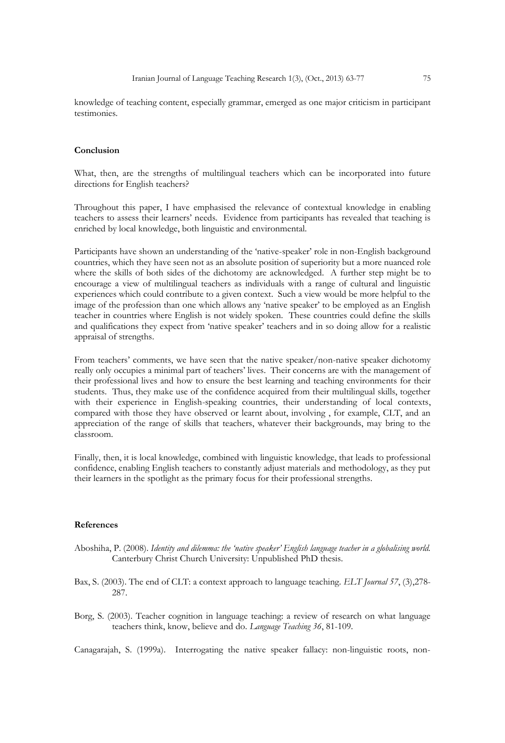knowledge of teaching content, especially grammar, emerged as one major criticism in participant testimonies.

## **Conclusion**

What, then, are the strengths of multilingual teachers which can be incorporated into future directions for English teachers?

Throughout this paper, I have emphasised the relevance of contextual knowledge in enabling teachers to assess their learners' needs. Evidence from participants has revealed that teaching is enriched by local knowledge, both linguistic and environmental.

Participants have shown an understanding of the 'native-speaker' role in non-English background countries, which they have seen not as an absolute position of superiority but a more nuanced role where the skills of both sides of the dichotomy are acknowledged. A further step might be to encourage a view of multilingual teachers as individuals with a range of cultural and linguistic experiences which could contribute to a given context. Such a view would be more helpful to the image of the profession than one which allows any 'native speaker' to be employed as an English teacher in countries where English is not widely spoken. These countries could define the skills and qualifications they expect from 'native speaker' teachers and in so doing allow for a realistic appraisal of strengths.

From teachers' comments, we have seen that the native speaker/non-native speaker dichotomy really only occupies a minimal part of teachers' lives. Their concerns are with the management of their professional lives and how to ensure the best learning and teaching environments for their students. Thus, they make use of the confidence acquired from their multilingual skills, together with their experience in English-speaking countries, their understanding of local contexts, compared with those they have observed or learnt about, involving , for example, CLT, and an appreciation of the range of skills that teachers, whatever their backgrounds, may bring to the classroom.

Finally, then, it is local knowledge, combined with linguistic knowledge, that leads to professional confidence, enabling English teachers to constantly adjust materials and methodology, as they put their learners in the spotlight as the primary focus for their professional strengths.

#### **References**

- Aboshiha, P. (2008). *Identity and dilemma: the 'native speaker' English language teacher in a globalising world.* Canterbury Christ Church University: Unpublished PhD thesis.
- Bax, S. (2003). The end of CLT: a context approach to language teaching. *ELT Journal 57*, (3),278- 287.
- Borg, S. (2003). Teacher cognition in language teaching: a review of research on what language teachers think, know, believe and do. *Language Teaching 36*, 81-109.

Canagarajah, S. (1999a). Interrogating the native speaker fallacy: non-linguistic roots, non-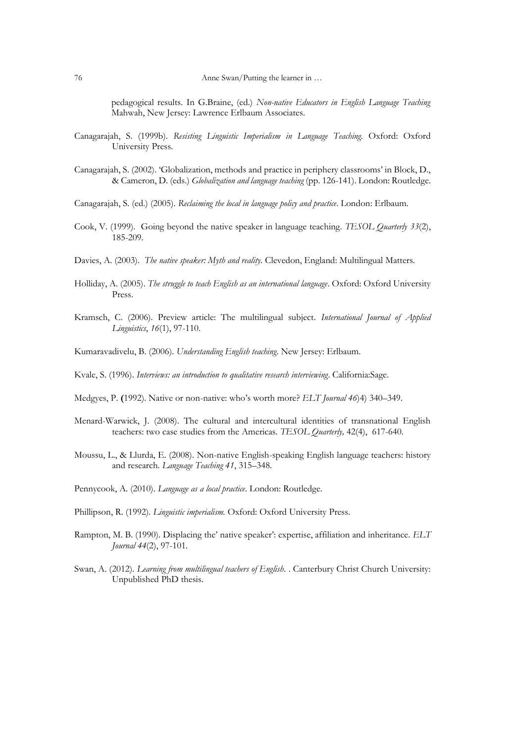pedagogical results. In G.Braine, (ed.) *Non-native Educators in English Language Teaching* Mahwah, New Jersey: Lawrence Erlbaum Associates.

- Canagarajah, S. (1999b). *Resisting Linguistic Imperialism in Language Teaching.* Oxford: Oxford University Press.
- Canagarajah, S. (2002). 'Globalization, methods and practice in periphery classrooms' in Block, D., & Cameron, D. (eds.) *Globalization and language teaching* (pp. 126-141). London: Routledge.

Canagarajah, S. (ed.) (2005). *Reclaiming the local in language policy and practice*. London: Erlbaum.

- Cook, V. (1999). Going beyond the native speaker in language teaching*. TESOL Quarterly 33*(2), 185-209.
- Davies, A. (2003). *The native speaker: Myth and reality.* Clevedon, England: Multilingual Matters.
- Holliday, A. (2005). *The struggle to teach English as an international language*. Oxford: Oxford University Press.
- Kramsch, C. (2006). Preview article: The multilingual subject. *International Journal of Applied Linguistics*, *16*(1), 97-110.
- Kumaravadivelu, B. (2006). *Understanding English teaching*. New Jersey: Erlbaum.
- Kvale, S. (1996). *Interviews: an introduction to qualitative research interviewing*. California:Sage.
- Medgyes, P. **(**1992). Native or non-native: who's worth more? *ELT Journal 46*)4) 340–349.
- Menard-Warwick, J. (2008). The cultural and intercultural identities of transnational English teachers: two case studies from the Americas. *TESOL Quarterly,* 42(4), 617-640.
- Moussu, L., & Llurda, E. (2008). Non-native English-speaking English language teachers: history and research*. Language Teaching 41*, 315–348.
- Pennycook, A. (2010). *Language as a local practice*. London: Routledge.
- Phillipson, R. (1992). *Linguistic imperialism.* Oxford: Oxford University Press.
- Rampton, M. B. (1990). Displacing the' native speaker': expertise, affiliation and inheritance. *ELT Journal 44*(2), 97-101.
- Swan, A. (2012). *Learning from multilingual teachers of English*. . Canterbury Christ Church University: Unpublished PhD thesis.